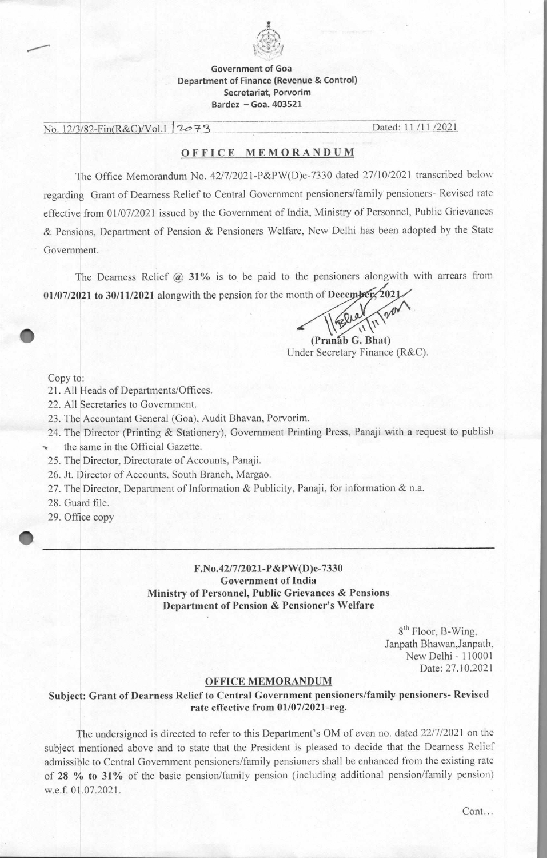

## Government of Goa Department of Finance (Revenue & Control) Secretariat, Porvorim Bardez — Goa. 403521

No. 12/3/82-Fin(R&C)/Vol.1 2023

## OFFICE MEMORANDUM

The Office Memorandum No. 42/7/2021-P&P W(D)e-7330 dated 27/10/2021 transcribed below regarding Grant of Dearness Relief to Central Government pensioners/family pensioners- Revised rate effective from 01/07/2021 issued by the Government of India, Ministry of Personnel, Public Grievances & Pensions, Department of Pension & Pensioners Welfare, New Delhi has been adopted by the State Government.

The Dearness Relief @ 31% is to be paid to the pensioners alongwith with arrears from **01/07/2021 to 30/11/2021** alongwith the pension for the month of **Dece** 

**(Pranab G. Bhat)**  Under Secretary Finance (R&C).

Copy to:

21. All Heads of Departments/Offices.

22. All Secretaries to Government.

23. The Accountant General (Goa), Audit Bhavan, Porvorim.

24. The Director (Printing & Stationery), Government Printing Press, Panaji with a request to publish

the same in the Official Gazette.

25. The Director, Directorate of Accounts, Panaji.

26. Jt. Director of Accounts, South Branch, Margao.

27. The Director, Department of Information & Publicity, Panaji, for information & n.a.

28. Guard file.

29. Office copy

## **F.No.42/7/2021-P&PW(D)e-7330 Government of India Ministry of Personnel, Public Grievances & Pensions Department of Pension & Pensioner's Welfare**

8<sup>th</sup> Floor, B-Wing, Janpath Bhawan,Janpath, New Delhi - 110001 Date: 27.10.2021

## **OFFICE MEMORANDUM**

**Subject: Grant of Dearness Relief to Central Government pensioners/family pensioners- Revised rate effective from 01/07/2021-reg.** 

The undersigned is directed to refer to this Department's OM of even no. dated 22/7/2021 on the subject mentioned above and to state that the President is pleased to decide that the Dearness Relief admissible to Central Government pensioners/family pensioners shall be enhanced from the existing rate of **28** % **to 31%** of the basic pension/family pension (including additional pension/family pension) w.e.f. 01.07.2021.